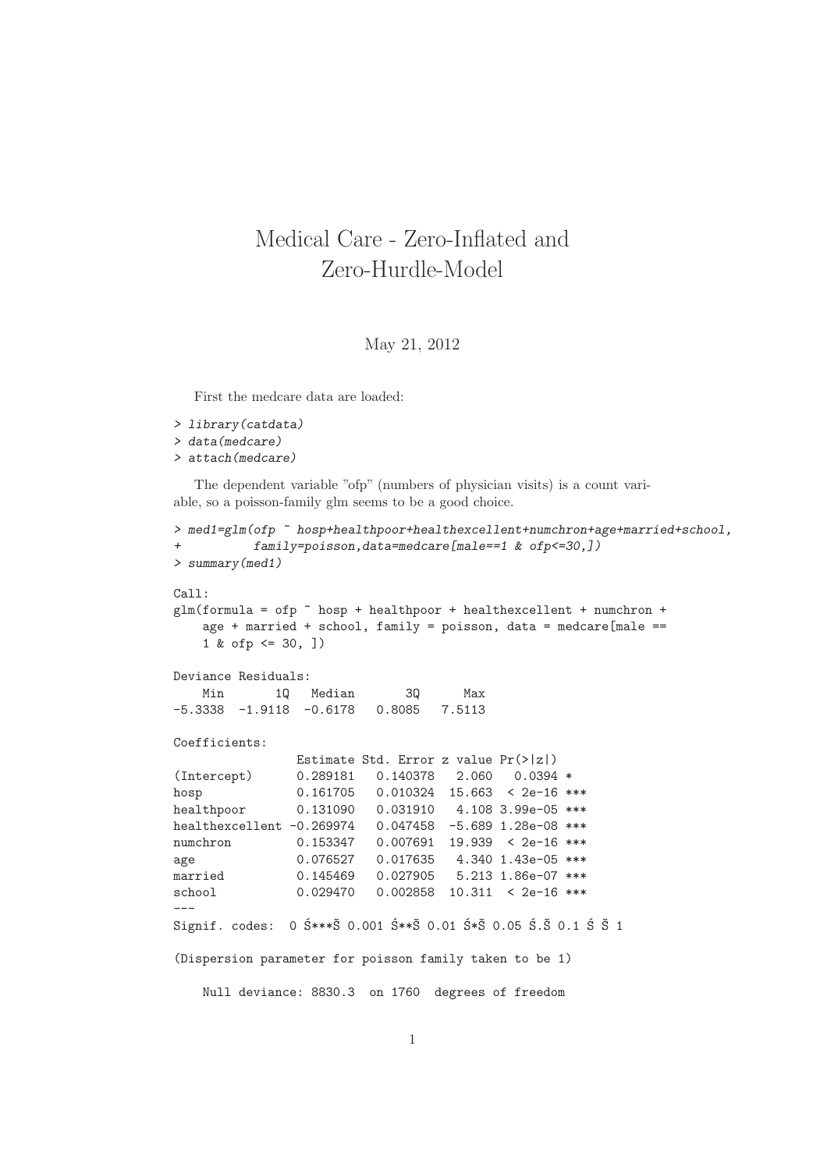## Medical Care - Zero-Inflated and Zero-Hurdle-Model

## May 21, 2012

First the medcare data are loaded:

```
> library(catdata)
> data(medcare)
> attach(medcare)
```
The dependent variable "ofp" (numbers of physician visits) is a count variable, so a poisson-family glm seems to be a good choice.

```
> med1=glm(ofp ~ hosp+healthpoor+healthexcellent+numchron+age+married+school,
+ family=poisson,data=medcare[male==1 & ofp<=30,])
> summary(med1)
Call:
glm(formula = ofp \tilde{p} hosp + healthpoor + healthexcellent + numchron +
   age + married + school, family = poisson, data = medcare[male ==
   1 & ofp <= 30, ])
Deviance Residuals:
   Min 1Q Median 3Q Max
-5.3338 -1.9118 -0.6178 0.8085 7.5113
Coefficients:
              Estimate Std. Error z value Pr(>|z|)
(Intercept) 0.289181 0.140378 2.060 0.0394 *
hosp 0.161705 0.010324 15.663 < 2e-16 ***
healthpoor 0.131090 0.031910 4.108 3.99e-05 ***
healthexcellent -0.269974 0.047458 -5.689 1.28e-08 ***
numchron 0.153347 0.007691 19.939 < 2e-16 ***
age 0.076527 0.017635 4.340 1.43e-05 ***
married 0.145469 0.027905 5.213 1.86e-07 ***
school 0.029470 0.002858 10.311 < 2e-16 ***
---
Signif. codes: 0 $***\ 0.001 $**\ 0.01 $*\ 0.05 $.5 0.1 $ $ 1
(Dispersion parameter for poisson family taken to be 1)
```
Null deviance: 8830.3 on 1760 degrees of freedom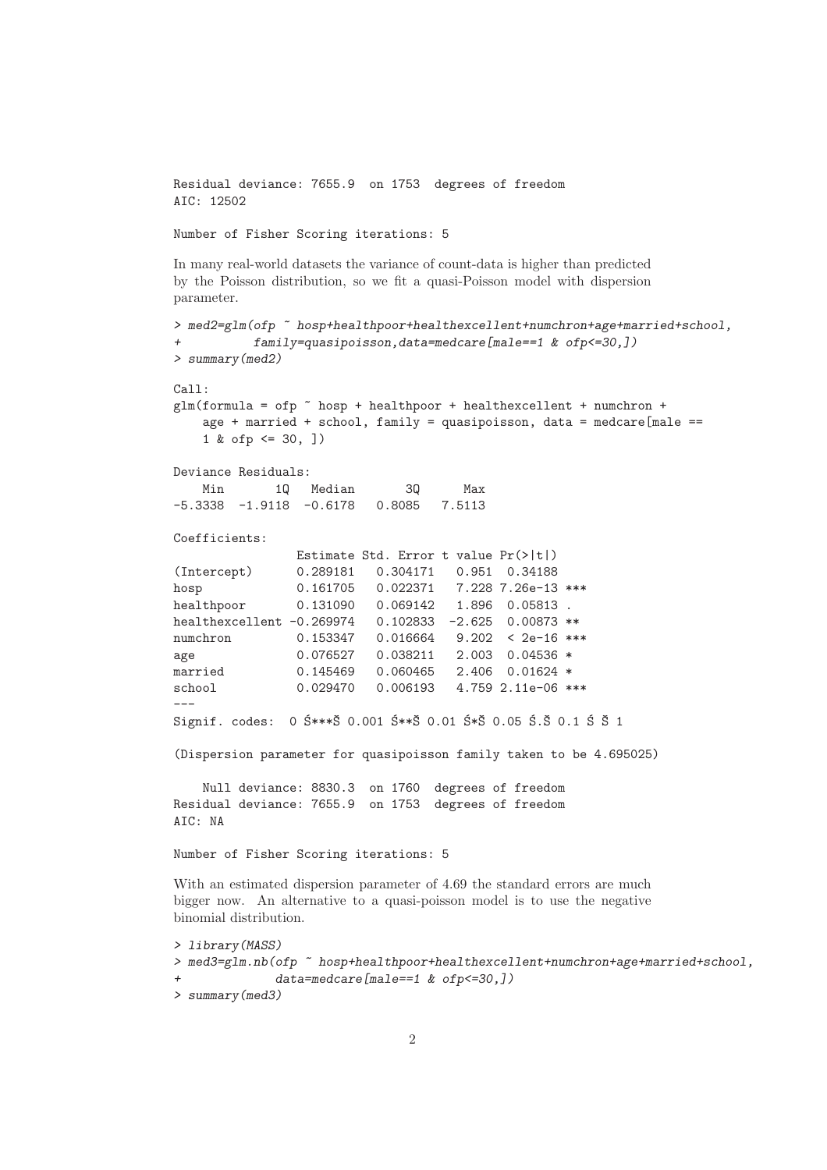Residual deviance: 7655.9 on 1753 degrees of freedom AIC: 12502

Number of Fisher Scoring iterations: 5

In many real-world datasets the variance of count-data is higher than predicted by the Poisson distribution, so we fit a quasi-Poisson model with dispersion parameter.

```
> med2=glm(ofp ~ hosp+healthpoor+healthexcellent+numchron+age+married+school,
          family=quasipoisson,data=medcare[male==1 & ofp <= 30,])
> summary(med2)
Call:
glm(formula = ofp n hosp + healthpoor + healthexcellent + numchron +
    age + married + school, family = quasipoisson, data = medcare[male ==
    1 & ofp \leq 30,])
Deviance Residuals:
   Min 1Q Median 3Q Max
-5.3338 -1.9118 -0.6178 0.8085 7.5113
Coefficients:
                Estimate Std. Error t value Pr(>|t|)
(Intercept) 0.289181 0.304171 0.951 0.34188
hosp 0.161705 0.022371 7.228 7.26e-13 ***
healthpoor 0.131090 0.069142 1.896 0.05813 .
healthexcellent -0.269974 0.102833 -2.625 0.00873 **
numchron 0.153347 0.016664 9.202 < 2e-16 ***
age 0.076527 0.038211 2.003 0.04536 *
married 0.145469 0.060465 2.406 0.01624 *
school 0.029470 0.006193 4.759 2.11e-06 ***
---
Signif. codes: 0 5***\overline{5} 0.001 5**\overline{5} 0.01 5*\overline{5} 0.05 5.\overline{5} 0.1 5.\overline{5} 1
(Dispersion parameter for quasipoisson family taken to be 4.695025)
    Null deviance: 8830.3 on 1760 degrees of freedom
Residual deviance: 7655.9 on 1753 degrees of freedom
AIC: NA
Number of Fisher Scoring iterations: 5
With an estimated dispersion parameter of 4.69 the standard errors are much
bigger now. An alternative to a quasi-poisson model is to use the negative
binomial distribution.
> library(MASS)
```

```
> med3=glm.nb(ofp ~ hosp+healthpoor+healthexcellent+numchron+age+married+school,
              data= medcare [male==1 \& of p<=30, ]> summary(med3)
```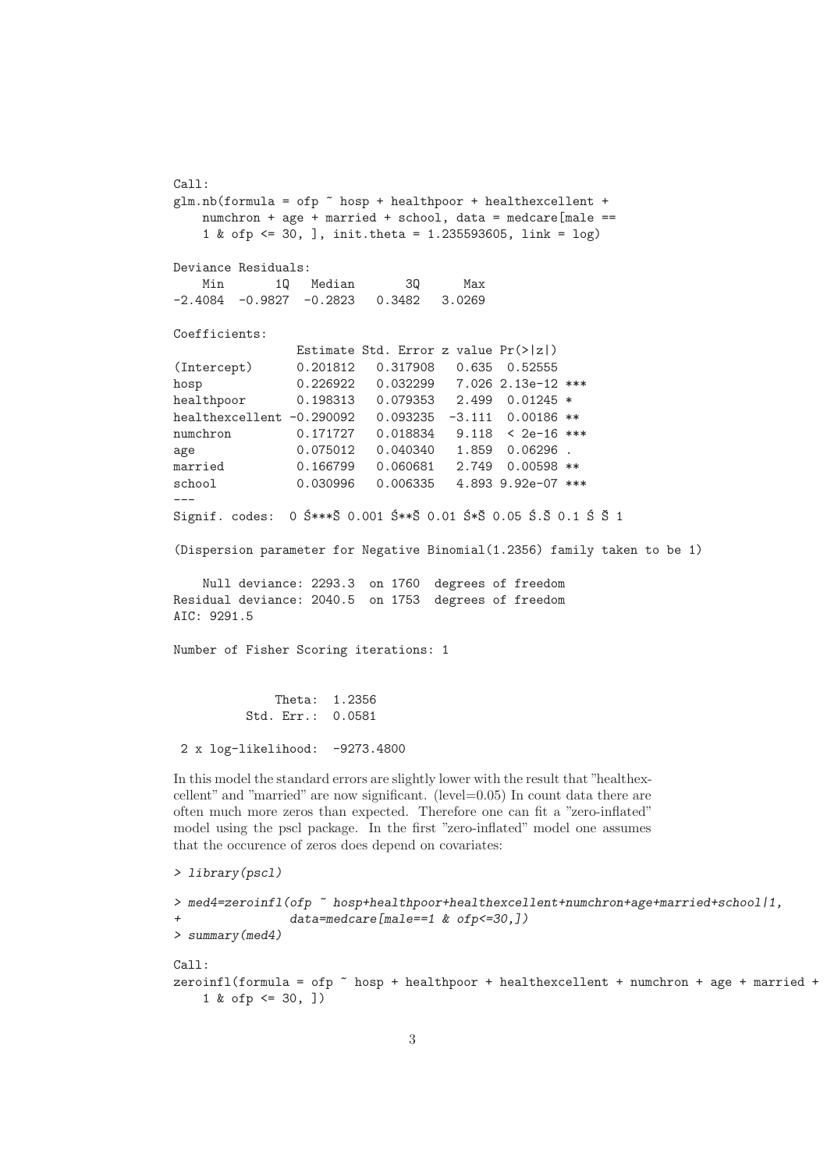Call:  $glm.nb (formula = ofp * hosp + healthpoor + healthexcellent +$ numchron + age + married + school, data = medcare[male == 1 & ofp <= 30, ], init.theta = 1.235593605, link = log) Deviance Residuals: Min 1Q Median 3Q Max -2.4084 -0.9827 -0.2823 0.3482 3.0269 Coefficients: Estimate Std. Error z value Pr(>|z|) (Intercept) 0.201812 0.317908 0.635 0.52555 hosp 0.226922 0.032299 7.026 2.13e-12 \*\*\* healthpoor 0.198313 0.079353 2.499 0.01245 \* healthexcellent -0.290092 0.093235 -3.111 0.00186 \*\* numchron 0.171727 0.018834 9.118 < 2e-16 \*\*\* age 0.075012 0.040340 1.859 0.06296 . married 0.166799 0.060681 2.749 0.00598 \*\* school 0.030996 0.006335 4.893 9.92e-07 \*\*\* --- Signif. codes: 0  $5***\overline{5}$  0.001  $5**\overline{5}$  0.01  $5*\overline{5}$  0.05  $5.\overline{5}$  0.1  $5.\overline{5}$  1 (Dispersion parameter for Negative Binomial(1.2356) family taken to be 1) Null deviance: 2293.3 on 1760 degrees of freedom Residual deviance: 2040.5 on 1753 degrees of freedom AIC: 9291.5 Number of Fisher Scoring iterations: 1 Theta: 1.2356 Std. Err.: 0.0581 2 x log-likelihood: -9273.4800 In this model the standard errors are slightly lower with the result that "healthexcellent" and "married" are now significant. (level=0.05) In count data there are often much more zeros than expected. Therefore one can fit a "zero-inflated" model using the pscl package. In the first "zero-inflated" model one assumes that the occurence of zeros does depend on covariates: > library(pscl)

```
> med4=zeroinfl(ofp ~ hosp+healthpoor+healthexcellent+numchron+age+married+school|1,
                 data= medcare [male = = 1 & ofp < = 30,])
> summary(med4)
C_{2}11\cdotzeroinfl(formula = ofp \tilde{ } hosp + healthpoor + healthexcellent + numchron + age + married +
    1 & ofp <= 30, ])
```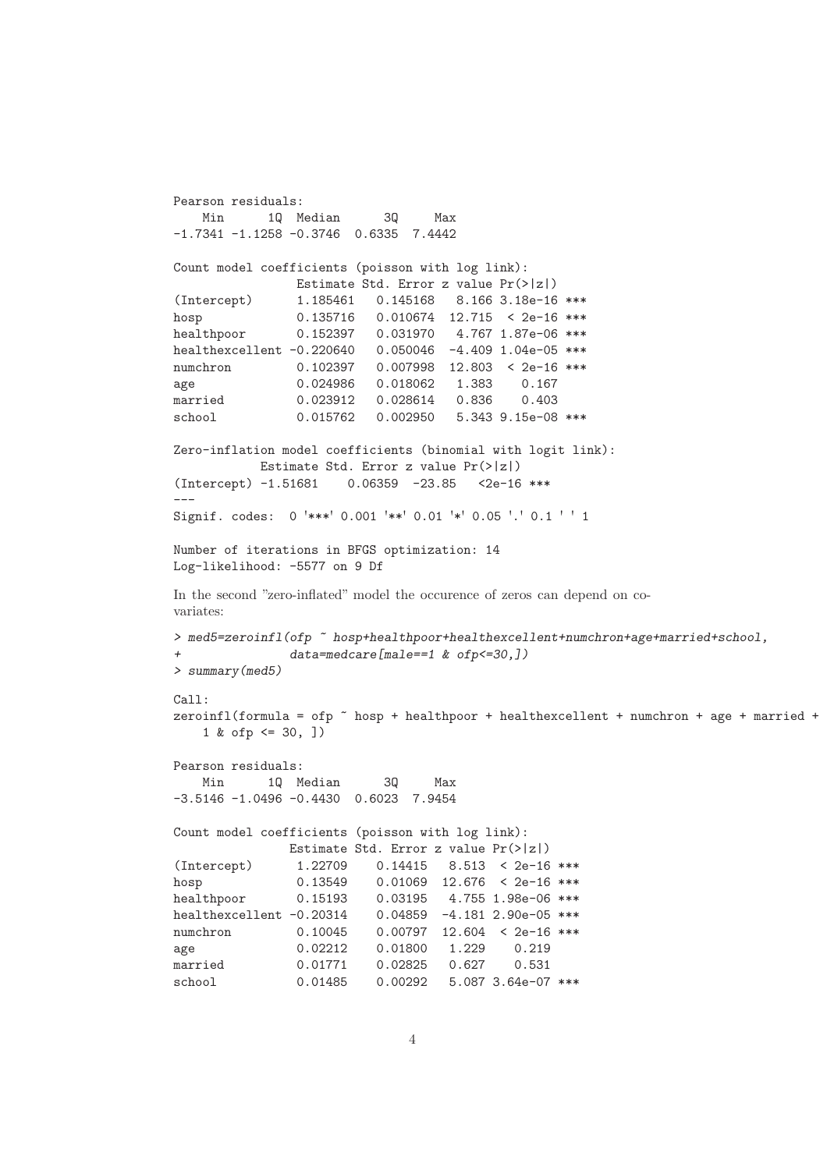```
Pearson residuals:
   Min 1Q Median 3Q Max
-1.7341 -1.1258 -0.3746 0.6335 7.4442
Count model coefficients (poisson with log link):
               Estimate Std. Error z value Pr(>|z|)
(Intercept) 1.185461 0.145168 8.166 3.18e-16 ***
hosp 0.135716 0.010674 12.715 < 2e-16 ***
healthpoor 0.152397 0.031970 4.767 1.87e-06 ***
healthexcellent -0.220640 0.050046 -4.409 1.04e-05 ***
numchron 0.102397 0.007998 12.803 < 2e-16 ***
age 0.024986 0.018062 1.383 0.167
married 0.023912 0.028614 0.836 0.403
school 0.015762 0.002950 5.343 9.15e-08 ***
Zero-inflation model coefficients (binomial with logit link):
          Estimate Std. Error z value Pr(>|z|)
(Intercept) -1.51681 0.06359 -23.85 <2e-16 ***
---
Signif. codes: 0 '***' 0.001 '**' 0.01 '*' 0.05 '.' 0.1 ' ' 1
Number of iterations in BFGS optimization: 14
Log-likelihood: -5577 on 9 Df
In the second "zero-inflated" model the occurence of zeros can depend on co-
variates:
> med5=zeroinfl(ofp ~ hosp+healthpoor+healthexcellent+numchron+age+married+school,
              data= medcare [male = = 1 & ofp < = 30,])
> summary(med5)
Ca11:zeroinfl(formula = ofp \tilde{ } hosp + healthpoor + healthexcellent + numchron + age + married +
   1 & ofp <= 30, ])
Pearson residuals:
   Min 1Q Median 3Q Max
-3.5146 -1.0496 -0.4430 0.6023 7.9454
Count model coefficients (poisson with log link):
              Estimate Std. Error z value Pr(>|z|)
(Intercept) 1.22709 0.14415 8.513 < 2e-16 ***
hosp 0.13549 0.01069 12.676 < 2e-16 ***
healthpoor 0.15193 0.03195 4.755 1.98e-06 ***
healthexcellent -0.20314     0.04859 -4.181     2.90e-05 ***
numchron 0.10045 0.00797 12.604 < 2e-16 ***
age 0.02212 0.01800 1.229 0.219
married 0.01771 0.02825 0.627 0.531
school 0.01485 0.00292 5.087 3.64e-07 ***
```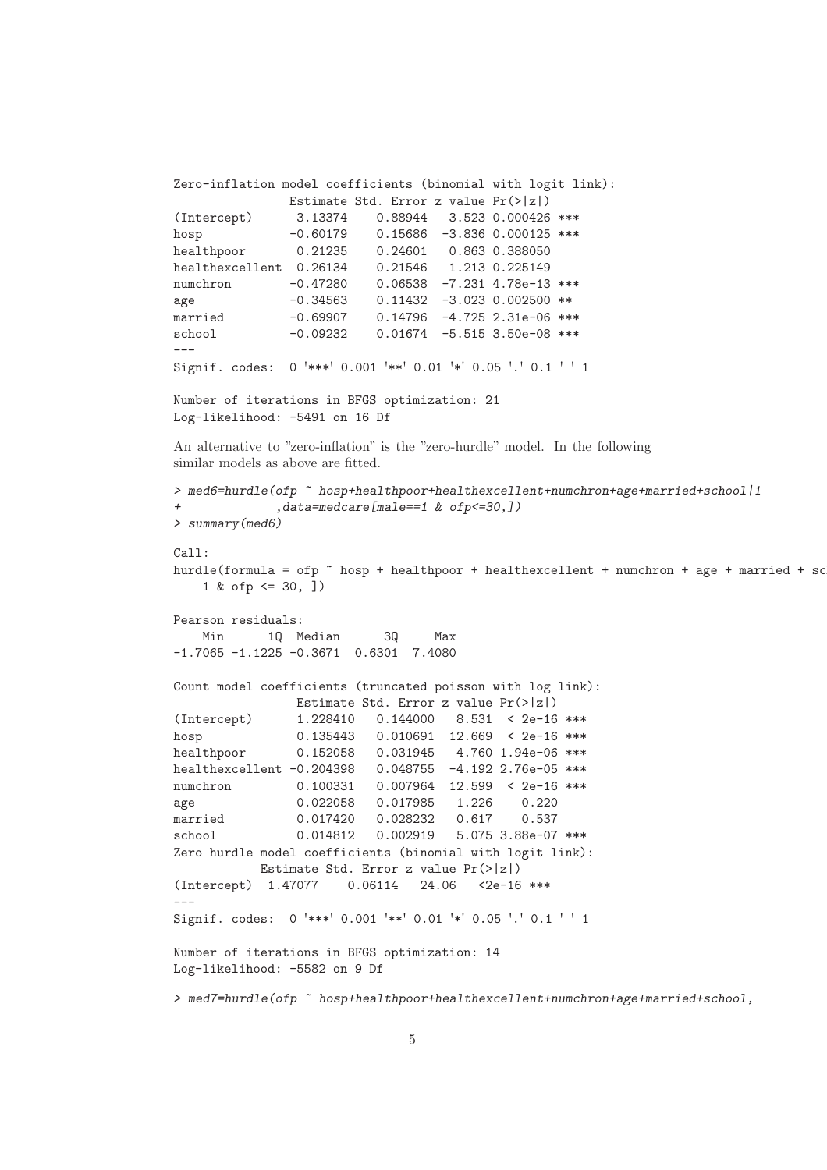```
Zero-inflation model coefficients (binomial with logit link):
              Estimate Std. Error z value Pr(>|z|)
(Intercept) 3.13374 0.88944 3.523 0.000426 ***
hosp -0.60179 0.15686 -3.836 0.000125 ***
healthpoor 0.21235 0.24601 0.863 0.388050
healthexcellent 0.26134 0.21546 1.213 0.225149
numchron -0.47280 0.06538 -7.231 4.78e-13 ***
age -0.34563 0.11432 -3.023 0.002500 **
married -0.69907 0.14796 -4.725 2.31e-06 ***
school -0.09232 0.01674 -5.515 3.50e-08 ***
---
Signif. codes: 0 '***' 0.001 '**' 0.01 '*' 0.05 '.' 0.1 ' ' 1
Number of iterations in BFGS optimization: 21
Log-likelihood: -5491 on 16 Df
An alternative to "zero-inflation" is the "zero-hurdle" model. In the following
similar models as above are fitted.
> med6=hurdle(ofp ~ hosp+healthpoor+healthexcellent+numchron+age+married+school|1
+ ,data=medcare[male==1 & ofp<=30,])
> summary(med6)
Call:
hurdle(formula = ofp \tilde{ } hosp + healthpoor + healthexcellent + numchron + age + married + sc
   1 & ofp \leq 30,])
Pearson residuals:
   Min 1Q Median 3Q Max
-1.7065 -1.1225 -0.3671 0.6301 7.4080
Count model coefficients (truncated poisson with log link):
               Estimate Std. Error z value Pr(>|z|)
(Intercept) 1.228410 0.144000 8.531 < 2e-16 ***
hosp 0.135443 0.010691 12.669 < 2e-16 ***
healthpoor 0.152058 0.031945 4.760 1.94e-06 ***
healthexcellent -0.204398  0.048755 -4.192  2.76e-05 ***
numchron 0.100331 0.007964 12.599 < 2e-16 ***
age 0.022058 0.017985 1.226 0.220
married 0.017420 0.028232 0.617 0.537
school 0.014812 0.002919 5.075 3.88e-07 ***
Zero hurdle model coefficients (binomial with logit link):
          Estimate Std. Error z value Pr(>|z|)
(Intercept) 1.47077 0.06114 24.06 <2e-16 ***
---
Signif. codes: 0 '***' 0.001 '**' 0.01 '*' 0.05 '.' 0.1 ' ' 1
Number of iterations in BFGS optimization: 14
Log-likelihood: -5582 on 9 Df
> med7=hurdle(ofp ~ hosp+healthpoor+healthexcellent+numchron+age+married+school,
```